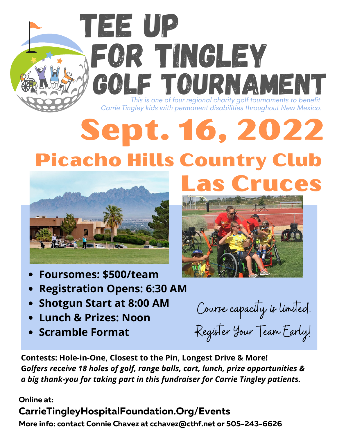## Sept. 16, 2022 Picacho Hills Country Club *Carrie Tingley kids with permanent disabilities throughout New Mexico.*

FOR TINGLEY

*This is one of four regional charity golf tournaments to benefit*

GOLF TOURNAMEN



TEE UP

- **Foursomes: \$500/team**
- **Registration Opens: 6:30 AM**
- **Shotgun Start at 8:00 AM**
- **Lunch & Prizes: Noon**
- **Scramble Format**

Course capacity is limited. Register Your Team Early!

Las Cruces

**Contests: Hole-in-One, Closest to the Pin, Longest Drive & More! G***olfers receive 18 holes of golf, range balls, cart, lunch, prize opportunities & a big thank-you for taking part in this fundraiser for Carrie Tingley patients.*

**Online at:**

## **CarrieTingleyHospitalFoundation.Org/Events**

**More info: contact Connie Chavez at cchavez@cthf.net or 505-243-6626**